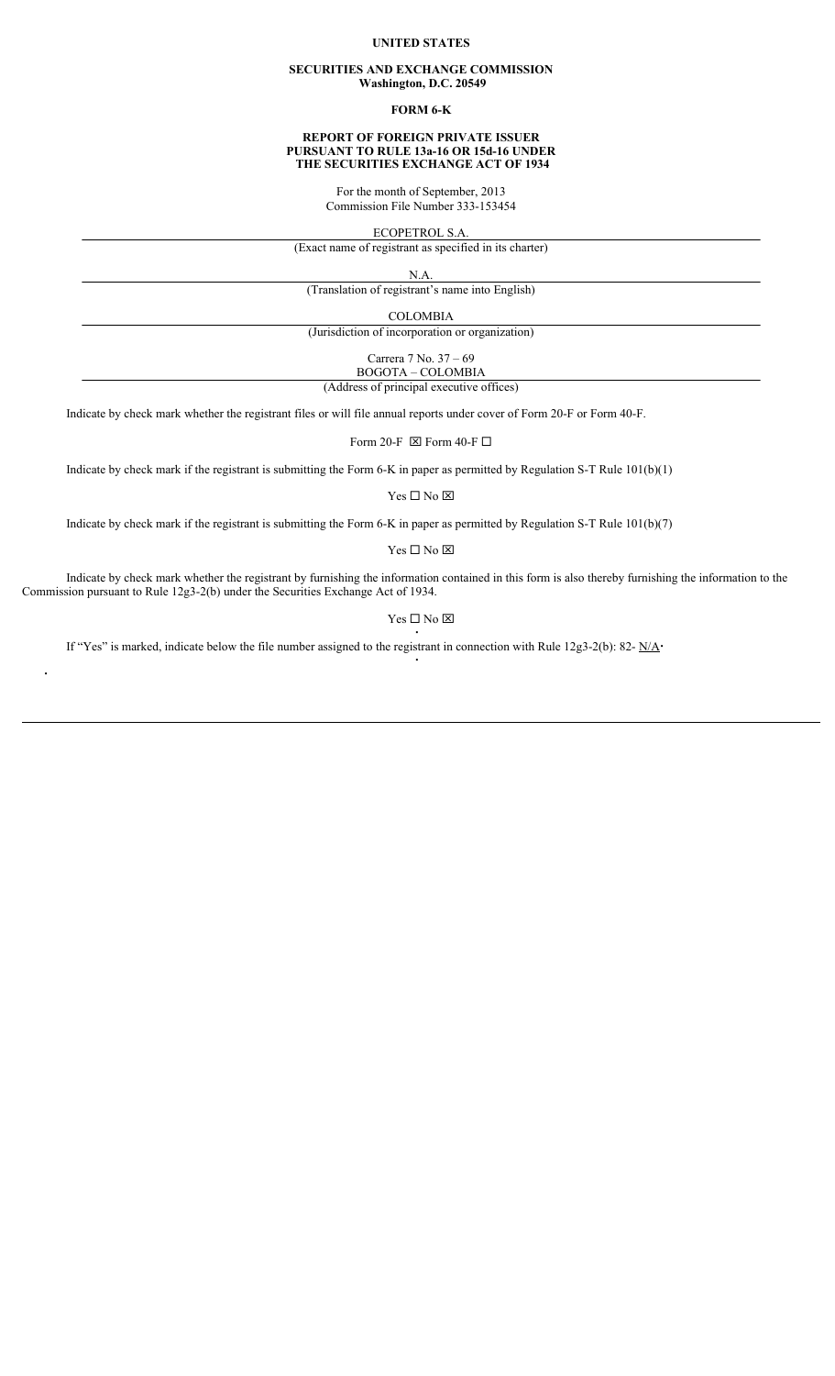## **UNITED STATES**

## **SECURITIES AND EXCHANGE COMMISSION Washington, D.C. 20549**

## **FORM 6-K**

## **REPORT OF FOREIGN PRIVATE ISSUER PURSUANT TO RULE 13a-16 OR 15d-16 UNDER THE SECURITIES EXCHANGE ACT OF 1934**

For the month of September, 2013 Commission File Number 333-153454

ECOPETROL S.A.

(Exact name of registrant as specified in its charter)

N.A.

(Translation of registrant's name into English)

COLOMBIA

(Jurisdiction of incorporation or organization)

Carrera 7 No. 37 – 69 BOGOTA – COLOMBIA

(Address of principal executive offices)

Indicate by check mark whether the registrant files or will file annual reports under cover of Form 20-F or Form 40-F.

Form 20-F  $\boxtimes$  Form 40-F  $\Box$ 

Indicate by check mark if the registrant is submitting the Form 6-K in paper as permitted by Regulation S-T Rule 101(b)(1)

Yes $\Box$  No  $\boxtimes$ 

Indicate by check mark if the registrant is submitting the Form 6-K in paper as permitted by Regulation S-T Rule 101(b)(7)

Yes $\Box$  No  $\boxtimes$ 

Indicate by check mark whether the registrant by furnishing the information contained in this form is also thereby furnishing the information to the Commission pursuant to Rule 12g3-2(b) under the Securities Exchange Act of 1934.

> Yes  $\Box$  No  $\boxtimes$ i

> > i

If "Yes" is marked, indicate below the file number assigned to the registrant in connection with Rule 12g3-2(b): 82-  $N/A$ 

i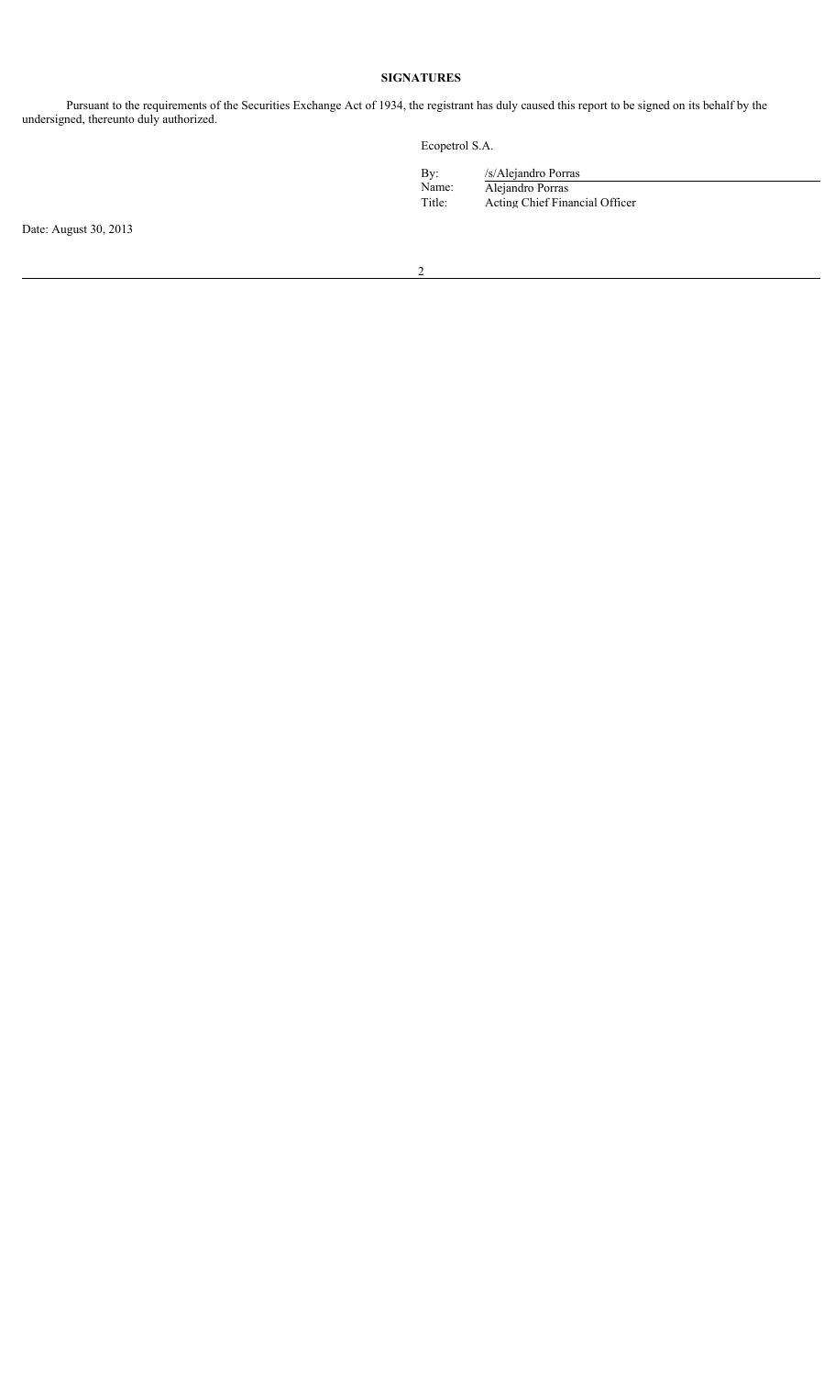# **SIGNATURES**

Pursuant to the requirements of the Securities Exchange Act of 1934, the registrant has duly caused this report to be signed on its behalf by the undersigned, thereunto duly authorized.

Ecopetrol S.A.

| By:    | /s/Alejandro Porras            |
|--------|--------------------------------|
| Name:  | Alejandro Porras               |
| Title: | Acting Chief Financial Officer |

Date: August 30, 2013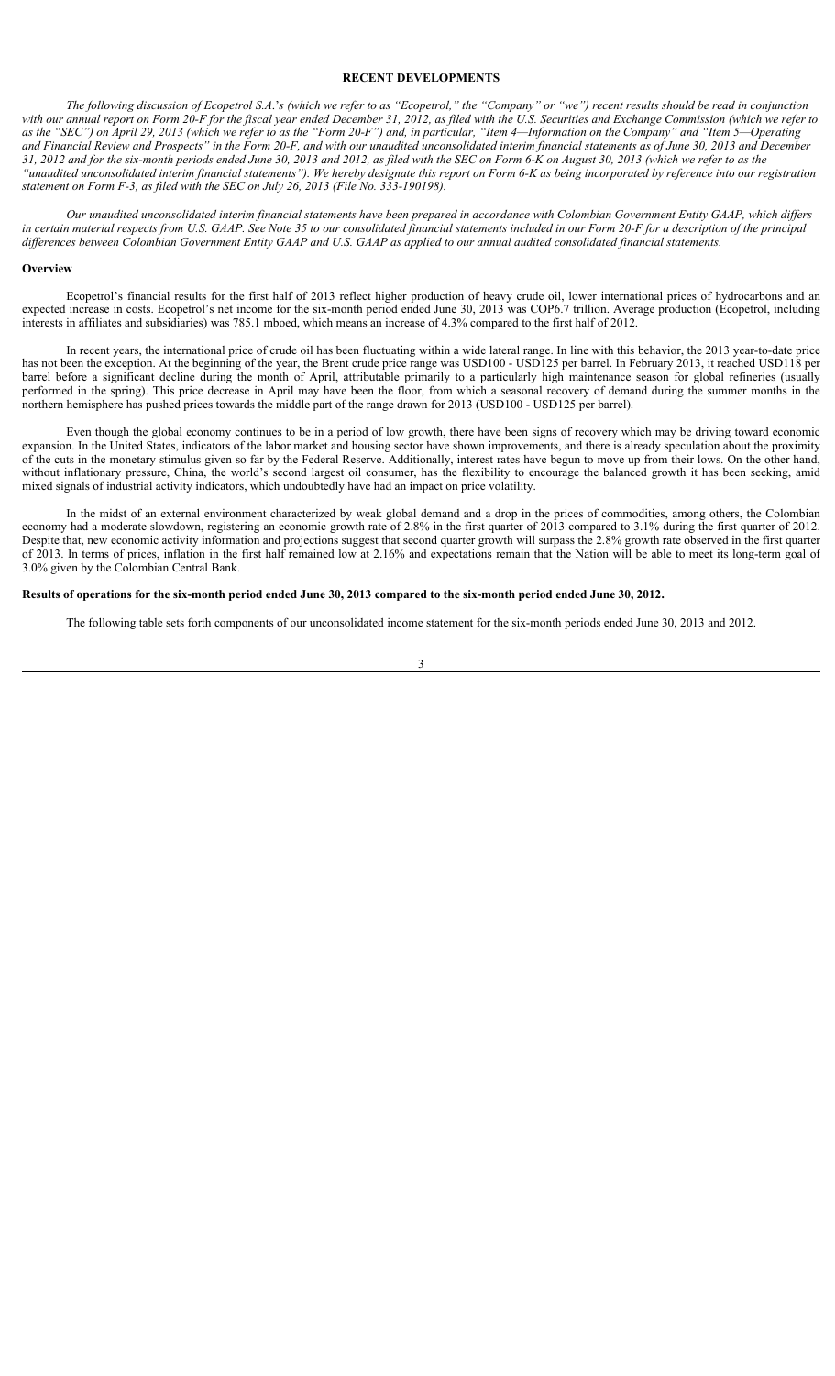## **RECENT DEVELOPMENTS**

*The following discussion of Ecopetrol S.A*.'*s (which we refer to as "Ecopetrol," the "Company" or "we") recent results should be read in conjunction with our annual report on Form 20-F for the fiscal year ended December 31, 2012, as filed with the U.S. Securities and Exchange Commission (which we refer to as the "SEC") on April 29, 2013 (which we refer to as the "Form 20-F") and, in particular, "Item 4—Information on the Company" and "Item 5—Operating and Financial Review and Prospects" in the Form 20-F, and with our unaudited unconsolidated interim financial statements as of June 30, 2013 and December 31, 2012 and for the six-month periods ended June 30, 2013 and 2012, as filed with the SEC on Form 6-K on August 30, 2013 (which we refer to as the "unaudited unconsolidated interim financial statements"). We hereby designate this report on Form 6-K as being incorporated by reference into our registration statement on Form F-3, as filed with the SEC on July 26, 2013 (File No. 333-190198).*

*Our unaudited unconsolidated interim financial statements have been prepared in accordance with Colombian Government Entity GAAP, which differs in certain material respects from U.S. GAAP. See Note 35 to our consolidated financial statements included in our Form 20-F for a description of the principal differences between Colombian Government Entity GAAP and U.S. GAAP as applied to our annual audited consolidated financial statements.* 

#### **Overview**

Ecopetrol's financial results for the first half of 2013 reflect higher production of heavy crude oil, lower international prices of hydrocarbons and an expected increase in costs. Ecopetrol's net income for the six-month period ended June 30, 2013 was COP6.7 trillion. Average production (Ecopetrol, including interests in affiliates and subsidiaries) was 785.1 mboed, which means an increase of 4.3% compared to the first half of 2012.

In recent years, the international price of crude oil has been fluctuating within a wide lateral range. In line with this behavior, the 2013 year-to-date price has not been the exception. At the beginning of the year, the Brent crude price range was USD100 - USD125 per barrel. In February 2013, it reached USD118 per barrel before a significant decline during the month of April, attributable primarily to a particularly high maintenance season for global refineries (usually performed in the spring). This price decrease in April may have been the floor, from which a seasonal recovery of demand during the summer months in the northern hemisphere has pushed prices towards the middle part of the range drawn for 2013 (USD100 - USD125 per barrel).

Even though the global economy continues to be in a period of low growth, there have been signs of recovery which may be driving toward economic expansion. In the United States, indicators of the labor market and housing sector have shown improvements, and there is already speculation about the proximity of the cuts in the monetary stimulus given so far by the Federal Reserve. Additionally, interest rates have begun to move up from their lows. On the other hand, without inflationary pressure, China, the world's second largest oil consumer, has the flexibility to encourage the balanced growth it has been seeking, amid mixed signals of industrial activity indicators, which undoubtedly have had an impact on price volatility.

In the midst of an external environment characterized by weak global demand and a drop in the prices of commodities, among others, the Colombian economy had a moderate slowdown, registering an economic growth rate of 2.8% in the first quarter of 2013 compared to 3.1% during the first quarter of 2012. Despite that, new economic activity information and projections suggest that second quarter growth will surpass the 2.8% growth rate observed in the first quarter of 2013. In terms of prices, inflation in the first half remained low at 2.16% and expectations remain that the Nation will be able to meet its long-term goal of 3.0% given by the Colombian Central Bank.

## **Results of operations for the six-month period ended June 30, 2013 compared to the six-month period ended June 30, 2012.**

The following table sets forth components of our unconsolidated income statement for the six-month periods ended June 30, 2013 and 2012.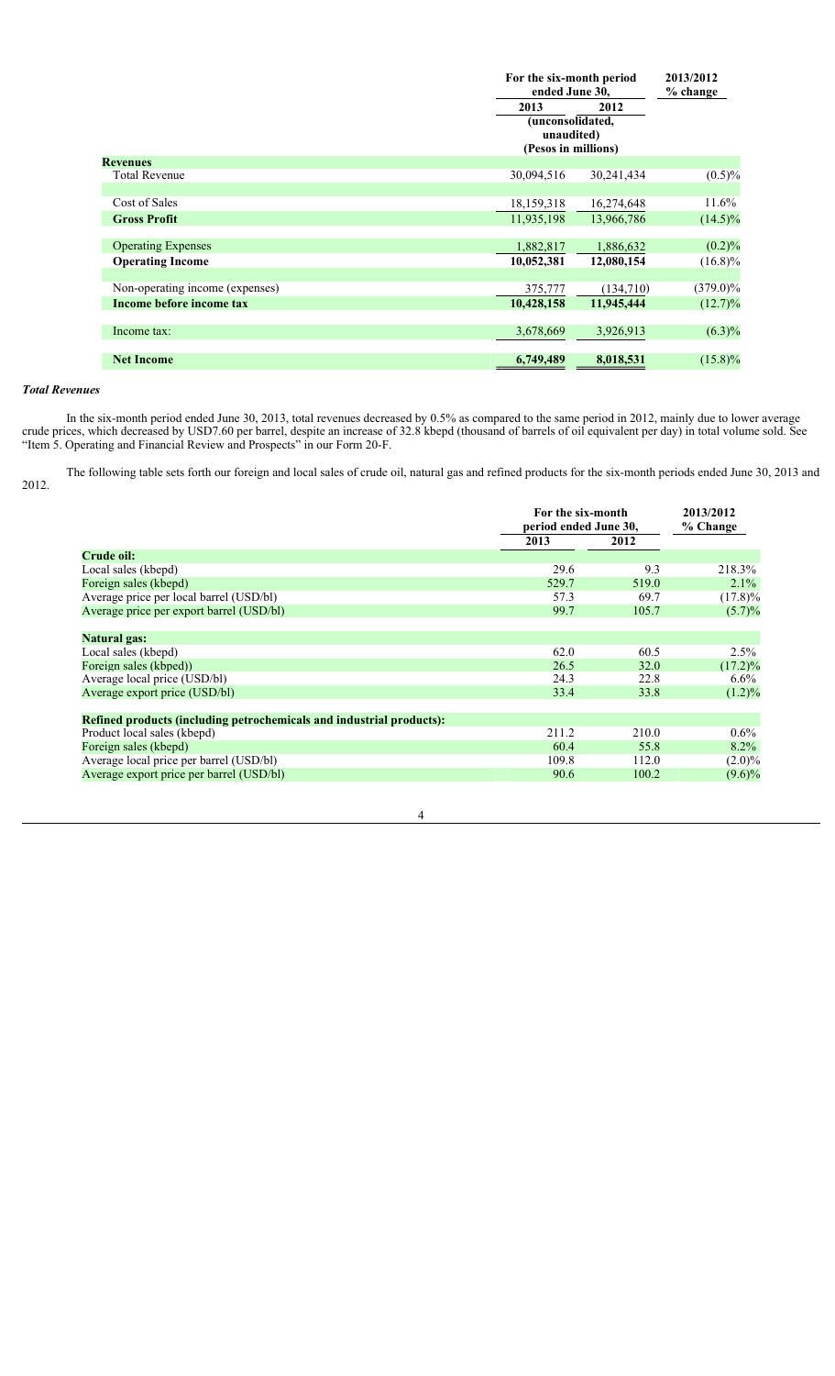|                                 |                                                       | For the six-month period<br>ended June 30, |             |
|---------------------------------|-------------------------------------------------------|--------------------------------------------|-------------|
|                                 | 2013                                                  | 2012                                       | $%$ change  |
|                                 | (unconsolidated,<br>unaudited)<br>(Pesos in millions) |                                            |             |
| <b>Revenues</b>                 |                                                       |                                            |             |
| <b>Total Revenue</b>            | 30,094,516                                            | 30,241,434                                 | $(0.5)\%$   |
|                                 |                                                       |                                            |             |
| Cost of Sales                   | 18,159,318                                            | 16,274,648                                 | 11.6%       |
| <b>Gross Profit</b>             | 11,935,198                                            | 13,966,786                                 | $(14.5)\%$  |
|                                 |                                                       |                                            |             |
| <b>Operating Expenses</b>       | 1,882,817                                             | 1,886,632                                  | (0.2)%      |
| <b>Operating Income</b>         | 10,052,381                                            | 12,080,154                                 | $(16.8)\%$  |
|                                 |                                                       |                                            |             |
| Non-operating income (expenses) | 375,777                                               | (134,710)                                  | $(379.0)\%$ |
| Income before income tax        | 10,428,158                                            | 11,945,444                                 | $(12.7)\%$  |
|                                 |                                                       |                                            |             |
| Income tax:                     | 3,678,669                                             | 3,926,913                                  | $(6.3)\%$   |
|                                 |                                                       |                                            |             |
| <b>Net Income</b>               | 6,749,489                                             | 8,018,531                                  | $(15.8)\%$  |

## *Total Revenues*

In the six-month period ended June 30, 2013, total revenues decreased by 0.5% as compared to the same period in 2012, mainly due to lower average crude prices, which decreased by USD7.60 per barrel, despite an increase of 32.8 kbepd (thousand of barrels of oil equivalent per day) in total volume sold. See "Item 5. Operating and Financial Review and Prospects" in our Form 20-F.

The following table sets forth our foreign and local sales of crude oil, natural gas and refined products for the six-month periods ended June 30, 2013 and 2012.

|                                                                      | For the six-month<br>period ended June 30, |       | 2013/2012<br>% Change |
|----------------------------------------------------------------------|--------------------------------------------|-------|-----------------------|
|                                                                      | 2013                                       | 2012  |                       |
| Crude oil:                                                           |                                            |       |                       |
| Local sales (kbepd)                                                  | 29.6                                       | 9.3   | 218.3%                |
| Foreign sales (kbepd)                                                | 529.7                                      | 519.0 | $2.1\%$               |
| Average price per local barrel (USD/bl)                              | 57.3                                       | 69.7  | $(17.8)\%$            |
| Average price per export barrel (USD/bl)                             | 99.7                                       | 105.7 | $(5.7)\%$             |
| <b>Natural gas:</b>                                                  |                                            |       |                       |
| Local sales (kbepd)                                                  | 62.0                                       | 60.5  | $2.5\%$               |
| Foreign sales (kbped))                                               | 26.5                                       | 32.0  | $(17.2)\%$            |
| Average local price (USD/bl)                                         | 24.3                                       | 22.8  | $6.6\%$               |
| Average export price (USD/bl)                                        | 33.4                                       | 33.8  | $(1.2)\%$             |
| Refined products (including petrochemicals and industrial products): |                                            |       |                       |
| Product local sales (kbepd)                                          | 211.2                                      | 210.0 | $0.6\%$               |
| Foreign sales (kbepd)                                                | 60.4                                       | 55.8  | $8.2\%$               |
| Average local price per barrel (USD/bl)                              | 109.8                                      | 112.0 | $(2.0)\%$             |
| Average export price per barrel (USD/bl)                             | 90.6                                       | 100.2 | $(9.6)\%$             |

4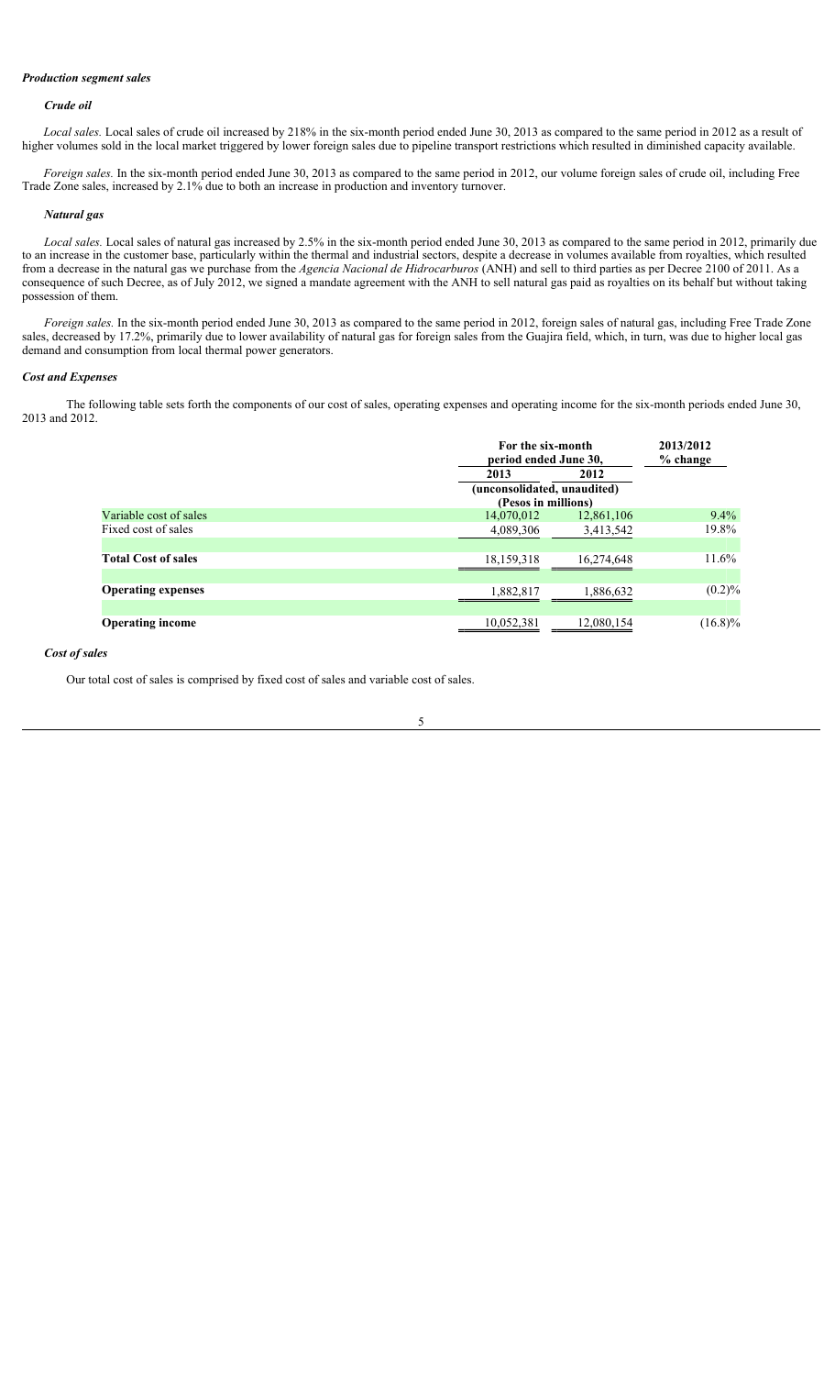# *Production segment sales*

#### *Crude oil*

*Local sales.* Local sales of crude oil increased by 218% in the six-month period ended June 30, 2013 as compared to the same period in 2012 as a result of higher volumes sold in the local market triggered by lower foreign sales due to pipeline transport restrictions which resulted in diminished capacity available.

*Foreign sales.* In the six-month period ended June 30, 2013 as compared to the same period in 2012, our volume foreign sales of crude oil, including Free Trade Zone sales, increased by 2.1% due to both an increase in production and inventory turnover.

## *Natural gas*

*Local sales.* Local sales of natural gas increased by 2.5% in the six-month period ended June 30, 2013 as compared to the same period in 2012, primarily due to an increase in the customer base, particularly within the thermal and industrial sectors, despite a decrease in volumes available from royalties, which resulted from a decrease in the natural gas we purchase from the *Agencia Nacional de Hidrocarburos* (ANH) and sell to third parties as per Decree 2100 of 2011. As a consequence of such Decree, as of July 2012, we signed a mandate agreement with the ANH to sell natural gas paid as royalties on its behalf but without taking possession of them.

*Foreign sales.* In the six-month period ended June 30, 2013 as compared to the same period in 2012, foreign sales of natural gas, including Free Trade Zone sales, decreased by 17.2%, primarily due to lower availability of natural gas for foreign sales from the Guajira field, which, in turn, was due to higher local gas demand and consumption from local thermal power generators.

#### *Cost and Expenses*

The following table sets forth the components of our cost of sales, operating expenses and operating income for the six-month periods ended June 30, 2013 and 2012.

|                            |                             | For the six-month<br>period ended June 30, |            |
|----------------------------|-----------------------------|--------------------------------------------|------------|
|                            | 2013                        | 2012                                       |            |
|                            | (unconsolidated, unaudited) |                                            |            |
|                            | (Pesos in millions)         |                                            |            |
| Variable cost of sales     | 14,070,012                  | 12,861,106                                 | $9.4\%$    |
| Fixed cost of sales        | 4,089,306                   | 3,413,542                                  | 19.8%      |
|                            |                             |                                            |            |
| <b>Total Cost of sales</b> | 18, 159, 318                | 16,274,648                                 | $11.6\%$   |
|                            |                             |                                            |            |
| <b>Operating expenses</b>  | 1,882,817                   | 1,886,632                                  | $(0.2)\%$  |
|                            |                             |                                            |            |
| <b>Operating income</b>    | 10,052,381                  | 12,080,154                                 | $(16.8)\%$ |

### *Cost of sales*

Our total cost of sales is comprised by fixed cost of sales and variable cost of sales.

$$
5 \\
$$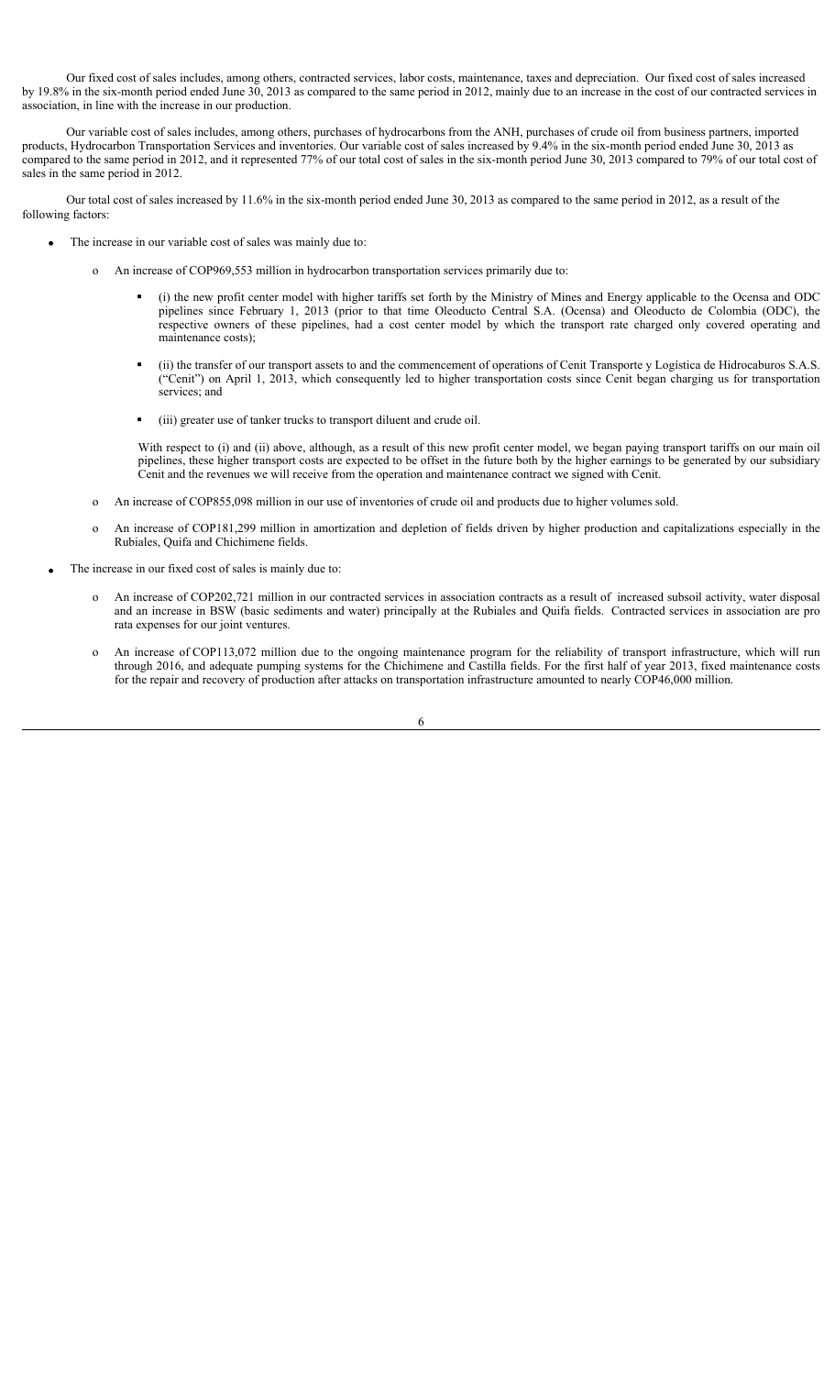Our fixed cost of sales includes, among others, contracted services, labor costs, maintenance, taxes and depreciation. Our fixed cost of sales increased by 19.8% in the six-month period ended June 30, 2013 as compared to the same period in 2012, mainly due to an increase in the cost of our contracted services in association, in line with the increase in our production.

Our variable cost of sales includes, among others, purchases of hydrocarbons from the ANH, purchases of crude oil from business partners, imported products, Hydrocarbon Transportation Services and inventories. Our variable cost of sales increased by 9.4% in the six-month period ended June 30, 2013 as compared to the same period in 2012, and it represented 77% of our total cost of sales in the six-month period June 30, 2013 compared to 79% of our total cost of sales in the same period in 2012.

Our total cost of sales increased by 11.6% in the six-month period ended June 30, 2013 as compared to the same period in 2012, as a result of the following factors:

- The increase in our variable cost of sales was mainly due to:
	- o An increase of COP969,553 million in hydrocarbon transportation services primarily due to:
		- (i) the new profit center model with higher tariffs set forth by the Ministry of Mines and Energy applicable to the Ocensa and ODC pipelines since February 1, 2013 (prior to that time Oleoducto Central S.A. (Ocensa) and Oleoducto de Colombia (ODC), the respective owners of these pipelines, had a cost center model by which the transport rate charged only covered operating and maintenance costs);
		- (ii) the transfer of our transport assets to and the commencement of operations of Cenit Transporte y Logística de Hidrocaburos S.A.S. ("Cenit") on April 1, 2013, which consequently led to higher transportation costs since Cenit began charging us for transportation services; and
		- (iii) greater use of tanker trucks to transport diluent and crude oil.

With respect to (i) and (ii) above, although, as a result of this new profit center model, we began paying transport tariffs on our main oil pipelines, these higher transport costs are expected to be offset in the future both by the higher earnings to be generated by our subsidiary Cenit and the revenues we will receive from the operation and maintenance contract we signed with Cenit.

- o An increase of COP855,098 million in our use of inventories of crude oil and products due to higher volumes sold.
- o An increase of COP181,299 million in amortization and depletion of fields driven by higher production and capitalizations especially in the Rubiales, Quifa and Chichimene fields.

The increase in our fixed cost of sales is mainly due to:

- o An increase of COP202,721 million in our contracted services in association contracts as a result of increased subsoil activity, water disposal and an increase in BSW (basic sediments and water) principally at the Rubiales and Quifa fields. Contracted services in association are pro rata expenses for our joint ventures.
- o An increase of COP113,072 million due to the ongoing maintenance program for the reliability of transport infrastructure, which will run through 2016, and adequate pumping systems for the Chichimene and Castilla fields. For the first half of year 2013, fixed maintenance costs for the repair and recovery of production after attacks on transportation infrastructure amounted to nearly COP46,000 million.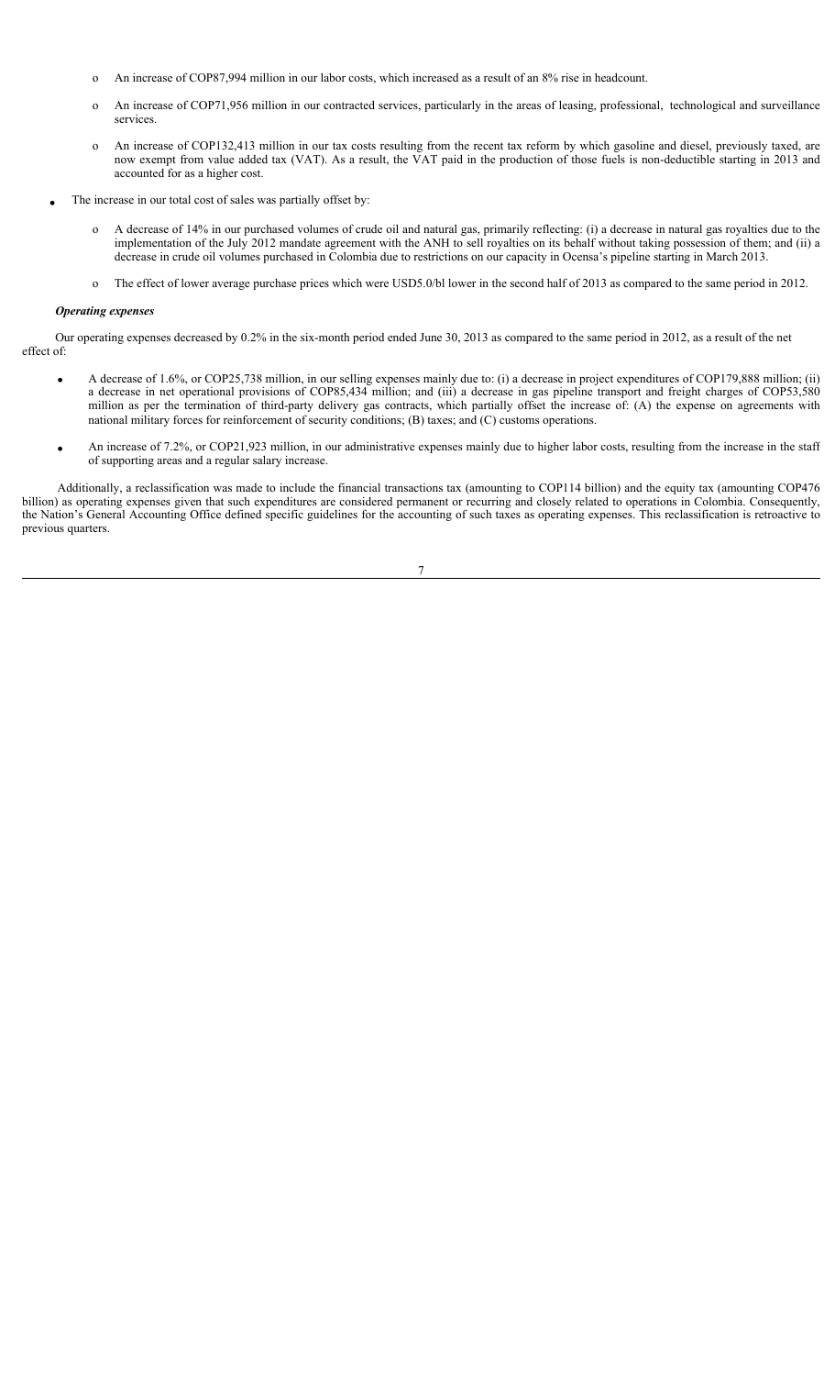- o An increase of COP87,994 million in our labor costs, which increased as a result of an 8% rise in headcount.
- o An increase of COP71,956 million in our contracted services, particularly in the areas of leasing, professional, technological and surveillance services.
- o An increase of COP132,413 million in our tax costs resulting from the recent tax reform by which gasoline and diesel, previously taxed, are now exempt from value added tax (VAT). As a result, the VAT paid in the production of those fuels is non-deductible starting in 2013 and accounted for as a higher cost.
- The increase in our total cost of sales was partially offset by:
	- o A decrease of 14% in our purchased volumes of crude oil and natural gas, primarily reflecting: (i) a decrease in natural gas royalties due to the implementation of the July 2012 mandate agreement with the ANH to sell royalties on its behalf without taking possession of them; and (ii) a decrease in crude oil volumes purchased in Colombia due to restrictions on our capacity in Ocensa's pipeline starting in March 2013.
	- o The effect of lower average purchase prices which were USD5.0/bl lower in the second half of 2013 as compared to the same period in 2012.

### *Operating expenses*

Our operating expenses decreased by 0.2% in the six-month period ended June 30, 2013 as compared to the same period in 2012, as a result of the net effect of:

- x A decrease of 1.6%, or COP25,738 million, in our selling expenses mainly due to: (i) a decrease in project expenditures of COP179,888 million; (ii) a decrease in net operational provisions of COP85,434 million; and (iii) a decrease in gas pipeline transport and freight charges of COP53,580 million as per the termination of third-party delivery gas contracts, which partially offset the increase of: (A) the expense on agreements with national military forces for reinforcement of security conditions; (B) taxes; and (C) customs operations.
- An increase of 7.2%, or COP21,923 million, in our administrative expenses mainly due to higher labor costs, resulting from the increase in the staff of supporting areas and a regular salary increase.

Additionally, a reclassification was made to include the financial transactions tax (amounting to COP114 billion) and the equity tax (amounting COP476 billion) as operating expenses given that such expenditures are considered permanent or recurring and closely related to operations in Colombia. Consequently, the Nation's General Accounting Office defined specific guidelines for the accounting of such taxes as operating expenses. This reclassification is retroactive to previous quarters.

7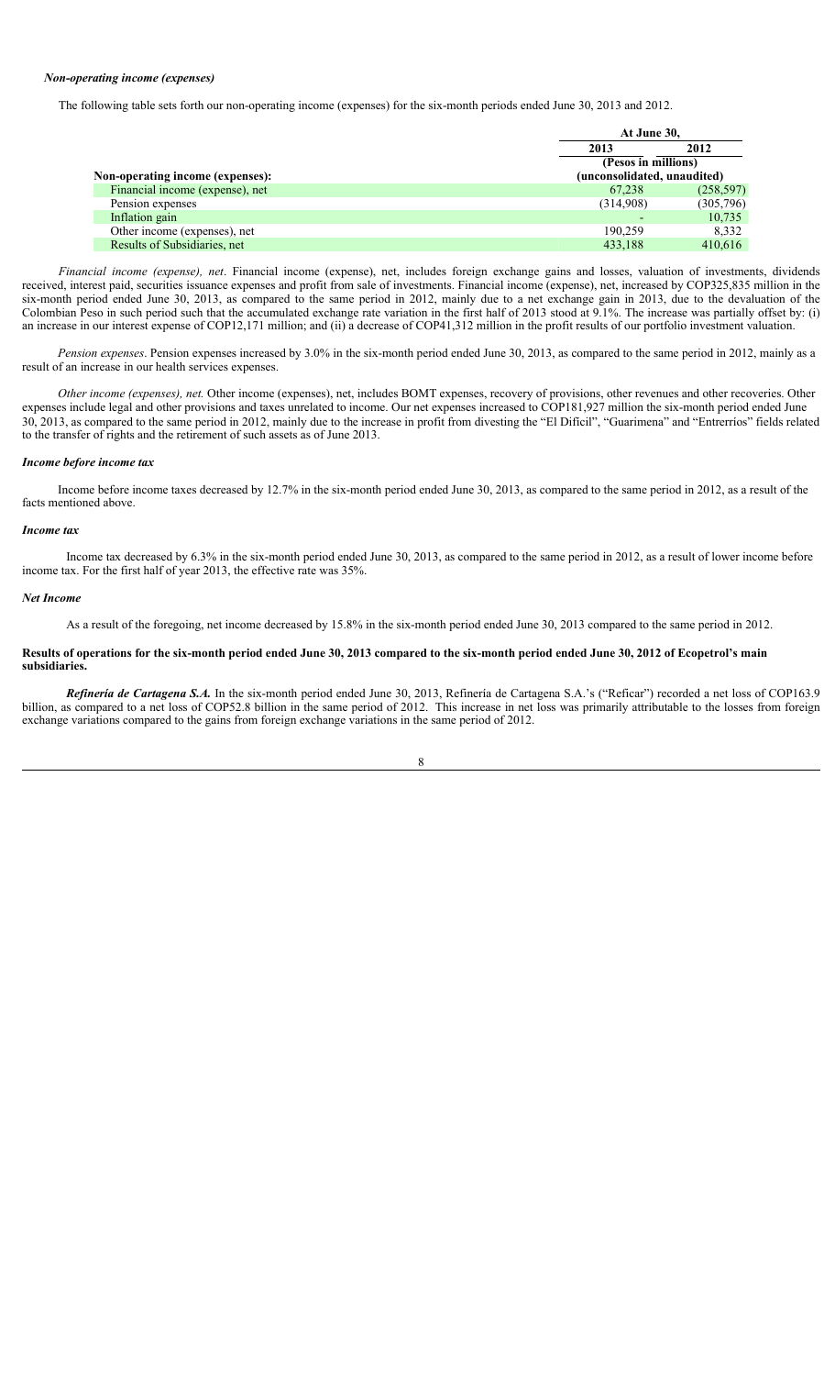## *Non-operating income (expenses)*

The following table sets forth our non-operating income (expenses) for the six-month periods ended June 30, 2013 and 2012.

|                                  |                             | At June 30, |  |
|----------------------------------|-----------------------------|-------------|--|
|                                  | 2013                        | 2012        |  |
|                                  | (Pesos in millions)         |             |  |
| Non-operating income (expenses): | (unconsolidated, unaudited) |             |  |
| Financial income (expense), net  | 67.238                      | (258, 597)  |  |
| Pension expenses                 | (314.908)                   | (305,796)   |  |
| Inflation gain                   |                             | 10,735      |  |
| Other income (expenses), net     | 190.259                     | 8.332       |  |
| Results of Subsidiaries, net     | 433,188                     | 410.616     |  |

*Financial income (expense), net*. Financial income (expense), net, includes foreign exchange gains and losses, valuation of investments, dividends received, interest paid, securities issuance expenses and profit from sale of investments. Financial income (expense), net, increased by COP325,835 million in the six-month period ended June 30, 2013, as compared to the same period in 2012, mainly due to a net exchange gain in 2013, due to the devaluation of the Colombian Peso in such period such that the accumulated exchange rate variation in the first half of 2013 stood at 9.1%. The increase was partially offset by: (i) an increase in our interest expense of COP12,171 million; and (ii) a decrease of COP41,312 million in the profit results of our portfolio investment valuation.

*Pension expenses*. Pension expenses increased by 3.0% in the six-month period ended June 30, 2013, as compared to the same period in 2012, mainly as a result of an increase in our health services expenses.

*Other income (expenses), net.* Other income (expenses), net, includes BOMT expenses, recovery of provisions, other revenues and other recoveries. Other expenses include legal and other provisions and taxes unrelated to income. Our net expenses increased to COP181,927 million the six-month period ended June 30, 2013, as compared to the same period in 2012, mainly due to the increase in profit from divesting the "El Difícil", "Guarimena" and "Entrerríos" fields related to the transfer of rights and the retirement of such assets as of June 2013.

## *Income before income tax*

Income before income taxes decreased by 12.7% in the six-month period ended June 30, 2013, as compared to the same period in 2012, as a result of the facts mentioned above.

### *Income tax*

Income tax decreased by 6.3% in the six-month period ended June 30, 2013, as compared to the same period in 2012, as a result of lower income before income tax. For the first half of year 2013, the effective rate was 35%.

#### *Net Income*

As a result of the foregoing, net income decreased by 15.8% in the six-month period ended June 30, 2013 compared to the same period in 2012.

## **Results of operations for the six-month period ended June 30, 2013 compared to the six-month period ended June 30, 2012 of Ecopetrol's main subsidiaries.**

*Refinería de Cartagena S.A.* In the six-month period ended June 30, 2013, Refinería de Cartagena S.A.'s ("Reficar") recorded a net loss of COP163.9 billion, as compared to a net loss of COP52.8 billion in the same period of 2012. This increase in net loss was primarily attributable to the losses from foreign exchange variations compared to the gains from foreign exchange variations in the same period of 2012.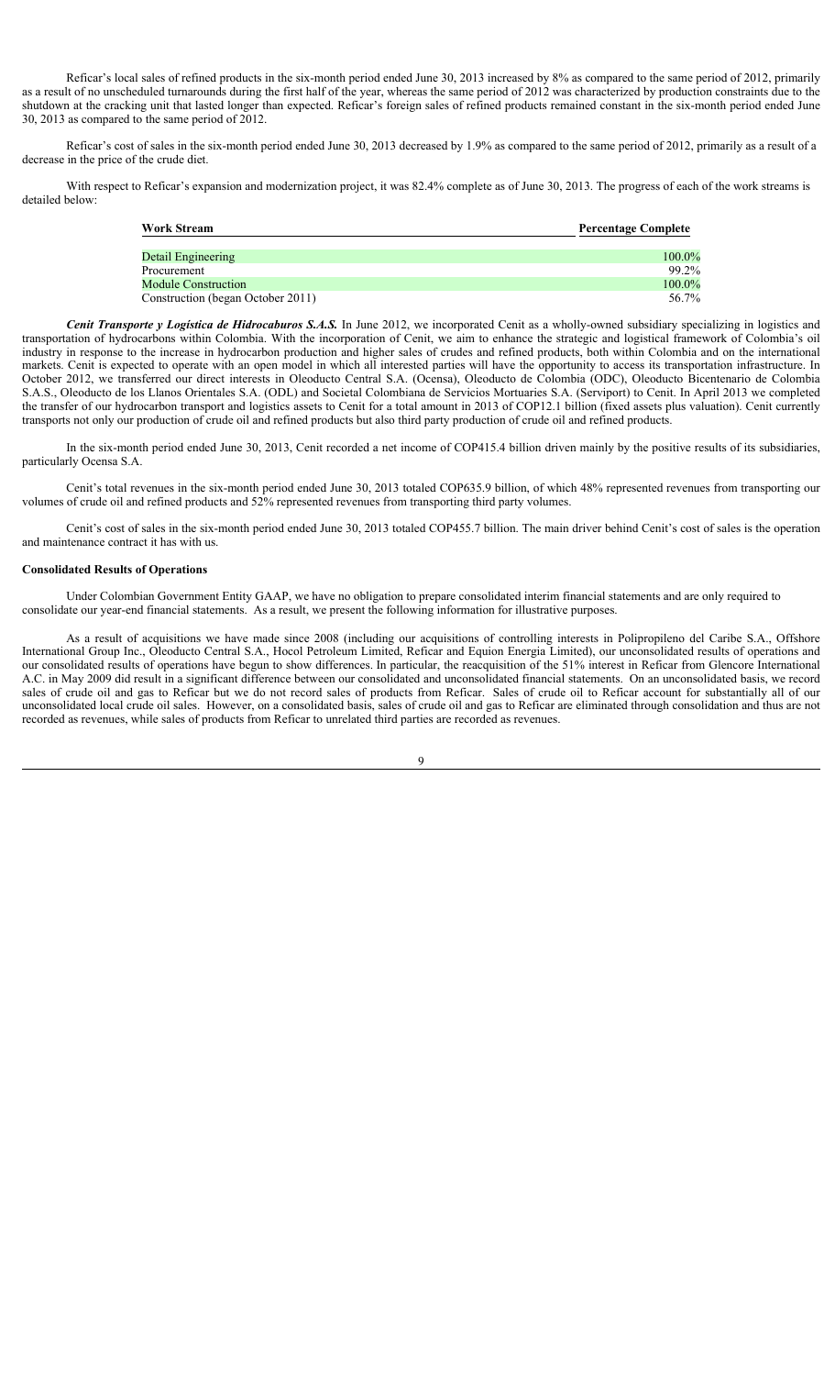Reficar's local sales of refined products in the six-month period ended June 30, 2013 increased by 8% as compared to the same period of 2012, primarily as a result of no unscheduled turnarounds during the first half of the year, whereas the same period of 2012 was characterized by production constraints due to the shutdown at the cracking unit that lasted longer than expected. Reficar's foreign sales of refined products remained constant in the six-month period ended June 30, 2013 as compared to the same period of 2012.

Reficar's cost of sales in the six-month period ended June 30, 2013 decreased by 1.9% as compared to the same period of 2012, primarily as a result of a decrease in the price of the crude diet.

With respect to Reficar's expansion and modernization project, it was 82.4% complete as of June 30, 2013. The progress of each of the work streams is detailed below:

| <b>Work Stream</b>                | <b>Percentage Complete</b> |
|-----------------------------------|----------------------------|
| Detail Engineering                | $100.0\%$                  |
| Procurement                       | 99.2%                      |
| <b>Module Construction</b>        | 100.0%                     |
| Construction (began October 2011) | 56.7%                      |

*Cenit Transporte y Logística de Hidrocaburos S.A.S.* In June 2012, we incorporated Cenit as a wholly-owned subsidiary specializing in logistics and transportation of hydrocarbons within Colombia. With the incorporation of Cenit, we aim to enhance the strategic and logistical framework of Colombia's oil industry in response to the increase in hydrocarbon production and higher sales of crudes and refined products, both within Colombia and on the international markets. Cenit is expected to operate with an open model in which all interested parties will have the opportunity to access its transportation infrastructure. In October 2012, we transferred our direct interests in Oleoducto Central S.A. (Ocensa), Oleoducto de Colombia (ODC), Oleoducto Bicentenario de Colombia S.A.S., Oleoducto de los Llanos Orientales S.A. (ODL) and Societal Colombiana de Servicios Mortuaries S.A. (Serviport) to Cenit. In April 2013 we completed the transfer of our hydrocarbon transport and logistics assets to Cenit for a total amount in 2013 of COP12.1 billion (fixed assets plus valuation). Cenit currently transports not only our production of crude oil and refined products but also third party production of crude oil and refined products.

In the six-month period ended June 30, 2013, Cenit recorded a net income of COP415.4 billion driven mainly by the positive results of its subsidiaries, particularly Ocensa S.A.

Cenit's total revenues in the six-month period ended June 30, 2013 totaled COP635.9 billion, of which 48% represented revenues from transporting our volumes of crude oil and refined products and 52% represented revenues from transporting third party volumes.

Cenit's cost of sales in the six-month period ended June 30, 2013 totaled COP455.7 billion. The main driver behind Cenit's cost of sales is the operation and maintenance contract it has with us.

## **Consolidated Results of Operations**

Under Colombian Government Entity GAAP, we have no obligation to prepare consolidated interim financial statements and are only required to consolidate our year-end financial statements. As a result, we present the following information for illustrative purposes.

As a result of acquisitions we have made since 2008 (including our acquisitions of controlling interests in Polipropileno del Caribe S.A., Offshore International Group Inc., Oleoducto Central S.A., Hocol Petroleum Limited, Reficar and Equion Energia Limited), our unconsolidated results of operations and our consolidated results of operations have begun to show differences. In particular, the reacquisition of the 51% interest in Reficar from Glencore International A.C. in May 2009 did result in a significant difference between our consolidated and unconsolidated financial statements. On an unconsolidated basis, we record sales of crude oil and gas to Reficar but we do not record sales of products from Reficar. Sales of crude oil to Reficar account for substantially all of our unconsolidated local crude oil sales. However, on a consolidated basis, sales of crude oil and gas to Reficar are eliminated through consolidation and thus are not recorded as revenues, while sales of products from Reficar to unrelated third parties are recorded as revenues.

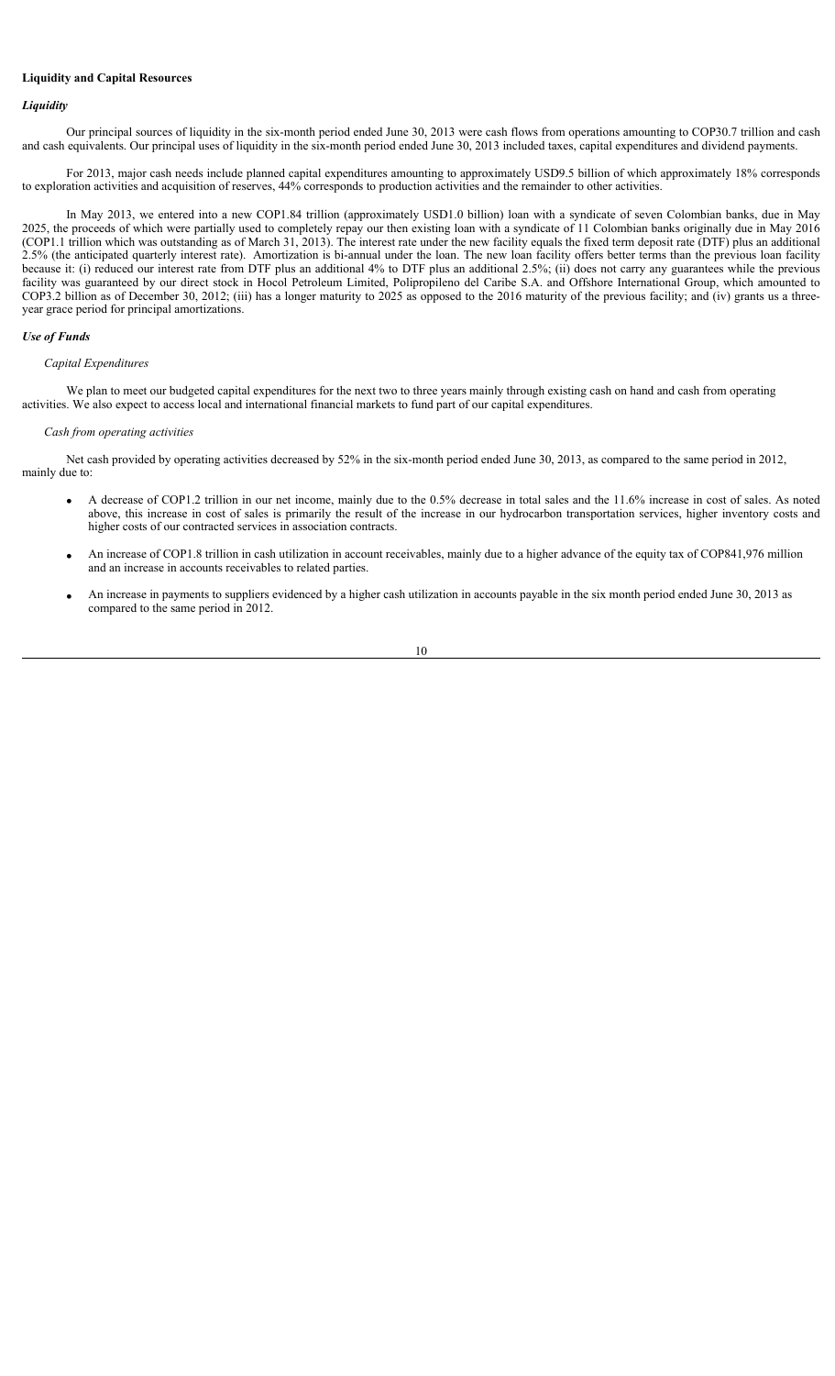# **Liquidity and Capital Resources**

## *Liquidity*

Our principal sources of liquidity in the six-month period ended June 30, 2013 were cash flows from operations amounting to COP30.7 trillion and cash and cash equivalents. Our principal uses of liquidity in the six-month period ended June 30, 2013 included taxes, capital expenditures and dividend payments.

For 2013, major cash needs include planned capital expenditures amounting to approximately USD9.5 billion of which approximately 18% corresponds to exploration activities and acquisition of reserves, 44% corresponds to production activities and the remainder to other activities.

In May 2013, we entered into a new COP1.84 trillion (approximately USD1.0 billion) loan with a syndicate of seven Colombian banks, due in May 2025, the proceeds of which were partially used to completely repay our then existing loan with a syndicate of 11 Colombian banks originally due in May 2016 (COP1.1 trillion which was outstanding as of March 31, 2013). The interest rate under the new facility equals the fixed term deposit rate (DTF) plus an additional 2.5% (the anticipated quarterly interest rate). Amortization is bi-annual under the loan. The new loan facility offers better terms than the previous loan facility because it: (i) reduced our interest rate from DTF plus an additional 4% to DTF plus an additional 2.5%; (ii) does not carry any guarantees while the previous facility was guaranteed by our direct stock in Hocol Petroleum Limited, Polipropileno del Caribe S.A. and Offshore International Group, which amounted to COP3.2 billion as of December 30, 2012; (iii) has a longer maturity to 2025 as opposed to the 2016 maturity of the previous facility; and (iv) grants us a threeyear grace period for principal amortizations.

## *Use of Funds*

## *Capital Expenditures*

We plan to meet our budgeted capital expenditures for the next two to three years mainly through existing cash on hand and cash from operating activities. We also expect to access local and international financial markets to fund part of our capital expenditures.

#### *Cash from operating activities*

Net cash provided by operating activities decreased by 52% in the six-month period ended June 30, 2013, as compared to the same period in 2012, mainly due to:

- x A decrease of COP1.2 trillion in our net income, mainly due to the 0.5% decrease in total sales and the 11.6% increase in cost of sales. As noted above, this increase in cost of sales is primarily the result of the increase in our hydrocarbon transportation services, higher inventory costs and higher costs of our contracted services in association contracts.
- x An increase of COP1.8 trillion in cash utilization in account receivables, mainly due to a higher advance of the equity tax of COP841,976 million and an increase in accounts receivables to related parties.
- An increase in payments to suppliers evidenced by a higher cash utilization in accounts payable in the six month period ended June 30, 2013 as compared to the same period in 2012.

10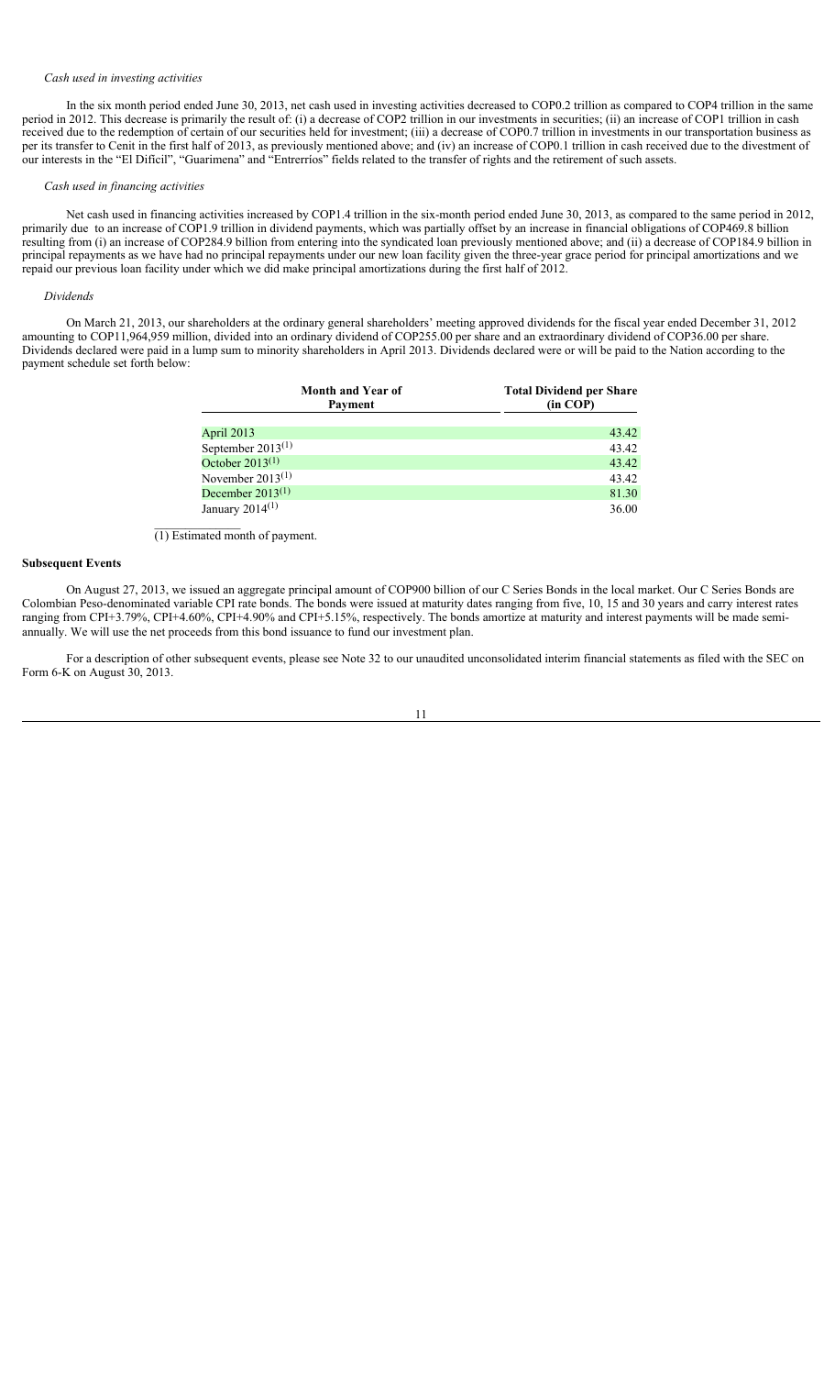## *Cash used in investing activities*

In the six month period ended June 30, 2013, net cash used in investing activities decreased to COP0.2 trillion as compared to COP4 trillion in the same period in 2012. This decrease is primarily the result of: (i) a decrease of COP2 trillion in our investments in securities; (ii) an increase of COP1 trillion in cash received due to the redemption of certain of our securities held for investment; (iii) a decrease of COP0.7 trillion in investments in our transportation business as per its transfer to Cenit in the first half of 2013, as previously mentioned above; and (iv) an increase of COP0.1 trillion in cash received due to the divestment of our interests in the "El Difícil", "Guarimena" and "Entrerríos" fields related to the transfer of rights and the retirement of such assets.

## *Cash used in financing activities*

Net cash used in financing activities increased by COP1.4 trillion in the six-month period ended June 30, 2013, as compared to the same period in 2012, primarily due to an increase of COP1.9 trillion in dividend payments, which was partially offset by an increase in financial obligations of COP469.8 billion resulting from (i) an increase of COP284.9 billion from entering into the syndicated loan previously mentioned above; and (ii) a decrease of COP184.9 billion in principal repayments as we have had no principal repayments under our new loan facility given the three-year grace period for principal amortizations and we repaid our previous loan facility under which we did make principal amortizations during the first half of 2012.

#### *Dividends*

On March 21, 2013, our shareholders at the ordinary general shareholders' meeting approved dividends for the fiscal year ended December 31, 2012 amounting to COP11,964,959 million, divided into an ordinary dividend of COP255.00 per share and an extraordinary dividend of COP36.00 per share. Dividends declared were paid in a lump sum to minority shareholders in April 2013. Dividends declared were or will be paid to the Nation according to the payment schedule set forth below:

| <b>Month and Year of</b><br>Payment | <b>Total Dividend per Share</b><br>(in COP) |
|-------------------------------------|---------------------------------------------|
|                                     |                                             |
| April 2013                          | 43.42                                       |
| September $2013^{(1)}$              | 43.42                                       |
| October $2013^{(1)}$                | 43.42                                       |
| November $2013^{(1)}$               | 43.42                                       |
| December $2013^{(1)}$               | 81.30                                       |
| January $2014^{(1)}$                | 36.00                                       |

(1) Estimated month of payment.

### **Subsequent Events**

On August 27, 2013, we issued an aggregate principal amount of COP900 billion of our C Series Bonds in the local market. Our C Series Bonds are Colombian Peso-denominated variable CPI rate bonds. The bonds were issued at maturity dates ranging from five, 10, 15 and 30 years and carry interest rates ranging from CPI+3.79%, CPI+4.60%, CPI+4.90% and CPI+5.15%, respectively. The bonds amortize at maturity and interest payments will be made semiannually. We will use the net proceeds from this bond issuance to fund our investment plan.

For a description of other subsequent events, please see Note 32 to our unaudited unconsolidated interim financial statements as filed with the SEC on Form 6-K on August 30, 2013.